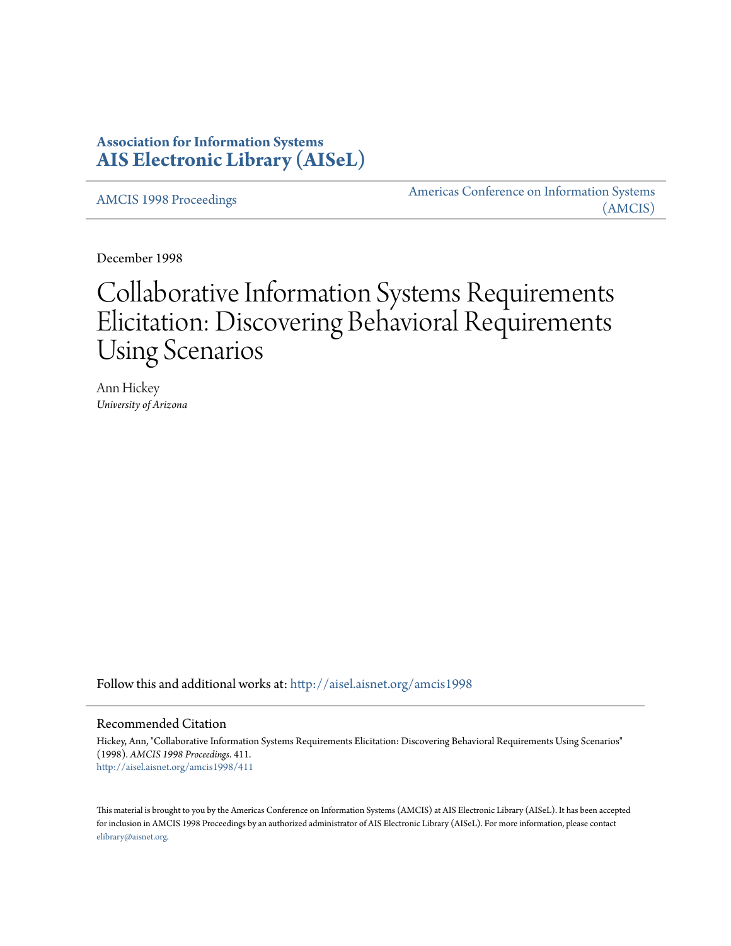# **Association for Information Systems [AIS Electronic Library \(AISeL\)](http://aisel.aisnet.org?utm_source=aisel.aisnet.org%2Famcis1998%2F411&utm_medium=PDF&utm_campaign=PDFCoverPages)**

[AMCIS 1998 Proceedings](http://aisel.aisnet.org/amcis1998?utm_source=aisel.aisnet.org%2Famcis1998%2F411&utm_medium=PDF&utm_campaign=PDFCoverPages)

[Americas Conference on Information Systems](http://aisel.aisnet.org/amcis?utm_source=aisel.aisnet.org%2Famcis1998%2F411&utm_medium=PDF&utm_campaign=PDFCoverPages) [\(AMCIS\)](http://aisel.aisnet.org/amcis?utm_source=aisel.aisnet.org%2Famcis1998%2F411&utm_medium=PDF&utm_campaign=PDFCoverPages)

December 1998

# Collaborative Information Systems Requirements Elicitation: Discovering Behavioral Requirements Using Scenarios

Ann Hickey *University of Arizona*

Follow this and additional works at: [http://aisel.aisnet.org/amcis1998](http://aisel.aisnet.org/amcis1998?utm_source=aisel.aisnet.org%2Famcis1998%2F411&utm_medium=PDF&utm_campaign=PDFCoverPages)

# Recommended Citation

Hickey, Ann, "Collaborative Information Systems Requirements Elicitation: Discovering Behavioral Requirements Using Scenarios" (1998). *AMCIS 1998 Proceedings*. 411. [http://aisel.aisnet.org/amcis1998/411](http://aisel.aisnet.org/amcis1998/411?utm_source=aisel.aisnet.org%2Famcis1998%2F411&utm_medium=PDF&utm_campaign=PDFCoverPages)

This material is brought to you by the Americas Conference on Information Systems (AMCIS) at AIS Electronic Library (AISeL). It has been accepted for inclusion in AMCIS 1998 Proceedings by an authorized administrator of AIS Electronic Library (AISeL). For more information, please contact [elibrary@aisnet.org.](mailto:elibrary@aisnet.org%3E)